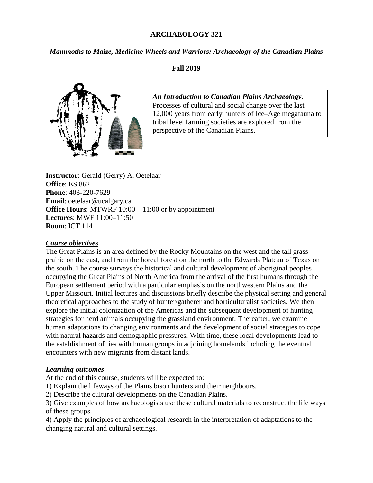#### **ARCHAEOLOGY 321**

*Mammoths to Maize, Medicine Wheels and Warriors: Archaeology of the Canadian Plains*

### **Fall 2019**



*An Introduction to Canadian Plains Archaeology*. Processes of cultural and social change over the last 12,000 years from early hunters of Ice–Age megafauna to tribal level farming societies are explored from the perspective of the Canadian Plains.

**Instructor**: Gerald (Gerry) A. Oetelaar **Office**: ES 862 **Phone**: 403-220-7629 **Email**: oetelaar@ucalgary.ca **Office Hours:** MTWRF 10:00 – 11:00 or by appointment **Lectures**: MWF 11:00–11:50 **Room**: ICT 114

#### *Course objectives*

The Great Plains is an area defined by the Rocky Mountains on the west and the tall grass prairie on the east, and from the boreal forest on the north to the Edwards Plateau of Texas on the south. The course surveys the historical and cultural development of aboriginal peoples occupying the Great Plains of North America from the arrival of the first humans through the European settlement period with a particular emphasis on the northwestern Plains and the Upper Missouri. Initial lectures and discussions briefly describe the physical setting and general theoretical approaches to the study of hunter/gatherer and horticulturalist societies. We then explore the initial colonization of the Americas and the subsequent development of hunting strategies for herd animals occupying the grassland environment. Thereafter, we examine human adaptations to changing environments and the development of social strategies to cope with natural hazards and demographic pressures. With time, these local developments lead to the establishment of ties with human groups in adjoining homelands including the eventual encounters with new migrants from distant lands.

### *Learning outcomes*

At the end of this course, students will be expected to:

- 1) Explain the lifeways of the Plains bison hunters and their neighbours.
- 2) Describe the cultural developments on the Canadian Plains.

3) Give examples of how archaeologists use these cultural materials to reconstruct the life ways of these groups.

4) Apply the principles of archaeological research in the interpretation of adaptations to the changing natural and cultural settings.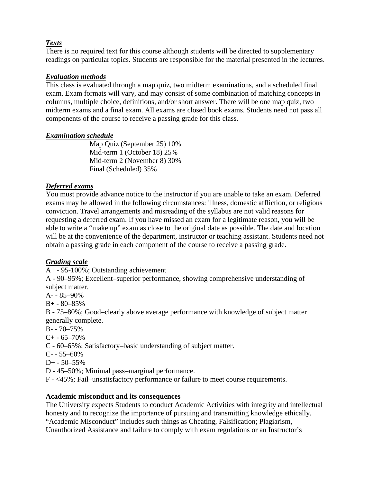## *Texts*

There is no required text for this course although students will be directed to supplementary readings on particular topics. Students are responsible for the material presented in the lectures.

## *Evaluation methods*

This class is evaluated through a map quiz, two midterm examinations, and a scheduled final exam. Exam formats will vary, and may consist of some combination of matching concepts in columns, multiple choice, definitions, and/or short answer. There will be one map quiz, two midterm exams and a final exam. All exams are closed book exams. Students need not pass all components of the course to receive a passing grade for this class.

## *Examination schedule*

Map Quiz (September 25) 10% Mid-term 1 (October 18) 25% Mid-term 2 (November 8) 30% Final (Scheduled) 35%

## *Deferred exams*

You must provide advance notice to the instructor if you are unable to take an exam. Deferred exams may be allowed in the following circumstances: illness, domestic affliction, or religious conviction. Travel arrangements and misreading of the syllabus are not valid reasons for requesting a deferred exam. If you have missed an exam for a legitimate reason, you will be able to write a "make up" exam as close to the original date as possible. The date and location will be at the convenience of the department, instructor or teaching assistant. Students need not obtain a passing grade in each component of the course to receive a passing grade.

# *Grading scale*

A+ - 95-100%; Outstanding achievement

A - 90–95%; Excellent–superior performance, showing comprehensive understanding of subject matter.

A- - 85–90%

 $B + -80 - 85%$ 

B - 75–80%; Good–clearly above average performance with knowledge of subject matter generally complete.

- $B 70 75\%$
- $C+ -65-70%$
- C 60–65%; Satisfactory–basic understanding of subject matter.
- $C 55 60\%$
- $D+ 50 55\%$
- D 45–50%; Minimal pass–marginal performance.
- F <45%; Fail–unsatisfactory performance or failure to meet course requirements.

## **Academic misconduct and its consequences**

The University expects Students to conduct Academic Activities with integrity and intellectual honesty and to recognize the importance of pursuing and transmitting knowledge ethically. "Academic Misconduct" includes such things as Cheating, Falsification; Plagiarism, Unauthorized Assistance and failure to comply with exam regulations or an Instructor's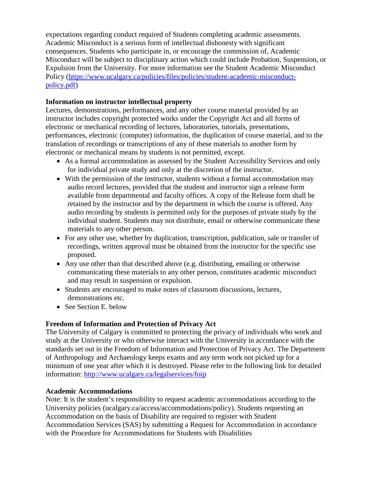expectations regarding conduct required of Students completing academic assessments. Academic Misconduct is a serious form of intellectual dishonesty with significant consequences. Students who participate in, or encourage the commission of, Academic Misconduct will be subject to disciplinary action which could include Probation, Suspension, or Expulsion from the University. For more information see the Student Academic Misconduct Policy [\(https://www.ucalgary.ca/policies/files/policies/student-academic-misconduct](https://www.ucalgary.ca/policies/files/policies/student-academic-misconduct-policy.pdf)[policy.pdf\)](https://www.ucalgary.ca/policies/files/policies/student-academic-misconduct-policy.pdf)

## **Information on instructor intellectual property**

Lectures, demonstrations, performances, and any other course material provided by an instructor includes copyright protected works under the Copyright Act and all forms of electronic or mechanical recording of lectures, laboratories, tutorials, presentations, performances, electronic (computer) information, the duplication of course material, and to the translation of recordings or transcriptions of any of these materials to another form by electronic or mechanical means by students is not permitted, except.

- As a formal accommodation as assessed by the Student Accessibility Services and only for individual private study and only at the discretion of the instructor.
- With the permission of the instructor, students without a formal accommodation may audio record lectures, provided that the student and instructor sign a release form available from departmental and faculty offices. A copy of the Release form shall be retained by the instructor and by the department in which the course is offered. Any audio recording by students is permitted only for the purposes of private study by the individual student. Students may not distribute, email or otherwise communicate these materials to any other person.
- For any other use, whether by duplication, transcription, publication, sale or transfer of recordings, written approval must be obtained from the instructor for the specific use proposed.
- Any use other than that described above (e.g. distributing, emailing or otherwise communicating these materials to any other person, constitutes academic misconduct and may result in suspension or expulsion.
- Students are encouraged to make notes of classroom discussions, lectures, demonstrations etc.
- See Section E. below

# **Freedom of Information and Protection of Privacy Act**

The University of Calgary is committed to protecting the privacy of individuals who work and study at the University or who otherwise interact with the University in accordance with the standards set out in the Freedom of Information and Protection of Privacy Act. The Department of Anthropology and Archaeology keeps exams and any term work not picked up for a minimum of one year after which it is destroyed. Please refer to the following link for detailed information:<http://www.ucalgary.ca/legalservices/foip>

## **Academic Accommodations**

Note: It is the student's responsibility to request academic accommodations according to the University policies (ucalgary.ca/access/accommodations/policy). Students requesting an Accommodation on the basis of Disability are required to register with Student Accommodation Services (SAS) by submitting a Request for Accommodation in accordance with the Procedure for Accommodations for Students with Disabilities